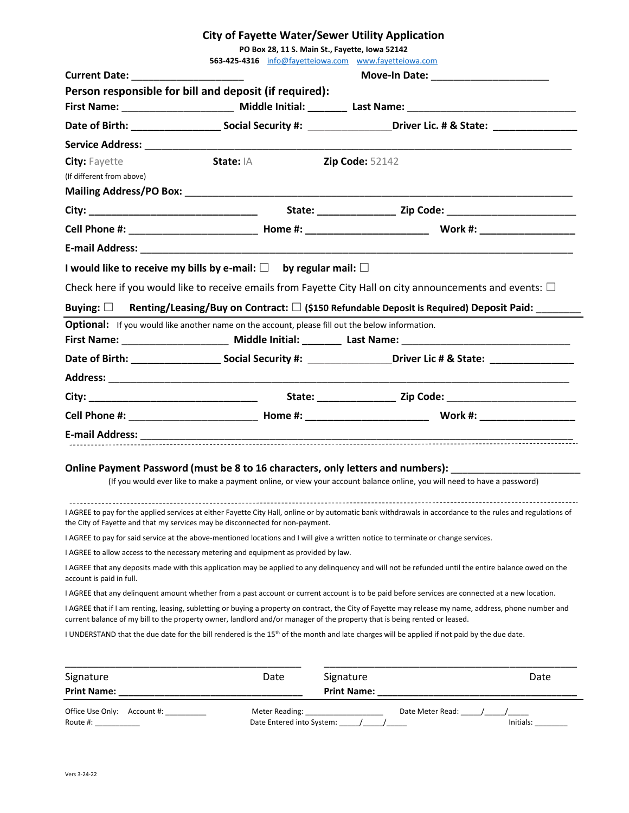## **City of Fayette Water/Sewer Utility Application**

**PO Box 28, 11 S. Main St., Fayette, Iowa 52142**

|                                                   |                                                                                                 | 563-425-4316 info@fayetteiowa.com www.fayetteiowa.com                                                                                                                                                                                                                                |           |  |  |  |  |
|---------------------------------------------------|-------------------------------------------------------------------------------------------------|--------------------------------------------------------------------------------------------------------------------------------------------------------------------------------------------------------------------------------------------------------------------------------------|-----------|--|--|--|--|
|                                                   |                                                                                                 |                                                                                                                                                                                                                                                                                      |           |  |  |  |  |
|                                                   | Person responsible for bill and deposit (if required):                                          |                                                                                                                                                                                                                                                                                      |           |  |  |  |  |
|                                                   |                                                                                                 | First Name: _________________________ Middle Initial: _________ Last Name: ___________________________________                                                                                                                                                                       |           |  |  |  |  |
|                                                   |                                                                                                 |                                                                                                                                                                                                                                                                                      |           |  |  |  |  |
|                                                   |                                                                                                 |                                                                                                                                                                                                                                                                                      |           |  |  |  |  |
| <b>City: Fayette</b><br>(If different from above) | <b>State: IA</b>                                                                                | <b>Zip Code: 52142</b>                                                                                                                                                                                                                                                               |           |  |  |  |  |
|                                                   |                                                                                                 |                                                                                                                                                                                                                                                                                      |           |  |  |  |  |
|                                                   |                                                                                                 |                                                                                                                                                                                                                                                                                      |           |  |  |  |  |
|                                                   |                                                                                                 |                                                                                                                                                                                                                                                                                      |           |  |  |  |  |
|                                                   | I would like to receive my bills by e-mail: $\square$ by regular mail: $\square$                |                                                                                                                                                                                                                                                                                      |           |  |  |  |  |
|                                                   |                                                                                                 | Check here if you would like to receive emails from Fayette City Hall on city announcements and events: $\Box$                                                                                                                                                                       |           |  |  |  |  |
|                                                   |                                                                                                 | Buying: $\square$ Renting/Leasing/Buy on Contract: $\square$ (\$150 Refundable Deposit is Required) Deposit Paid:                                                                                                                                                                    |           |  |  |  |  |
|                                                   | Optional: If you would like another name on the account, please fill out the below information. | First Name: ________________________ Middle Initial: ________ Last Name: ___________________________                                                                                                                                                                                 |           |  |  |  |  |
|                                                   |                                                                                                 |                                                                                                                                                                                                                                                                                      |           |  |  |  |  |
|                                                   |                                                                                                 |                                                                                                                                                                                                                                                                                      |           |  |  |  |  |
|                                                   |                                                                                                 |                                                                                                                                                                                                                                                                                      |           |  |  |  |  |
|                                                   |                                                                                                 |                                                                                                                                                                                                                                                                                      |           |  |  |  |  |
|                                                   |                                                                                                 |                                                                                                                                                                                                                                                                                      |           |  |  |  |  |
|                                                   |                                                                                                 |                                                                                                                                                                                                                                                                                      |           |  |  |  |  |
|                                                   |                                                                                                 | Online Payment Password (must be 8 to 16 characters, only letters and numbers):<br>(If you would ever like to make a payment online, or view your account balance online, you will need to have a password)                                                                          |           |  |  |  |  |
|                                                   | the City of Fayette and that my services may be disconnected for non-payment.                   | I AGREE to pay for the applied services at either Fayette City Hall, online or by automatic bank withdrawals in accordance to the rules and regulations of                                                                                                                           |           |  |  |  |  |
|                                                   |                                                                                                 | I AGREE to pay for said service at the above-mentioned locations and I will give a written notice to terminate or change services.                                                                                                                                                   |           |  |  |  |  |
|                                                   | I AGREE to allow access to the necessary metering and equipment as provided by law.             |                                                                                                                                                                                                                                                                                      |           |  |  |  |  |
| account is paid in full.                          |                                                                                                 | I AGREE that any deposits made with this application may be applied to any delinquency and will not be refunded until the entire balance owed on the                                                                                                                                 |           |  |  |  |  |
|                                                   |                                                                                                 | I AGREE that any delinguent amount whether from a past account or current account is to be paid before services are connected at a new location.                                                                                                                                     |           |  |  |  |  |
|                                                   |                                                                                                 | I AGREE that if I am renting, leasing, subletting or buying a property on contract, the City of Fayette may release my name, address, phone number and                                                                                                                               |           |  |  |  |  |
|                                                   |                                                                                                 | current balance of my bill to the property owner, landlord and/or manager of the property that is being rented or leased.<br>I UNDERSTAND that the due date for the bill rendered is the 15 <sup>th</sup> of the month and late charges will be applied if not paid by the due date. |           |  |  |  |  |
| Signature<br>Print Name: __                       | Date                                                                                            | Signature<br>Print Name: __                                                                                                                                                                                                                                                          | Date      |  |  |  |  |
| Office Use Only: Account #: _________<br>Route #: | Meter Reading:<br>Date Entered into System:                                                     |                                                                                                                                                                                                                                                                                      | Initials: |  |  |  |  |